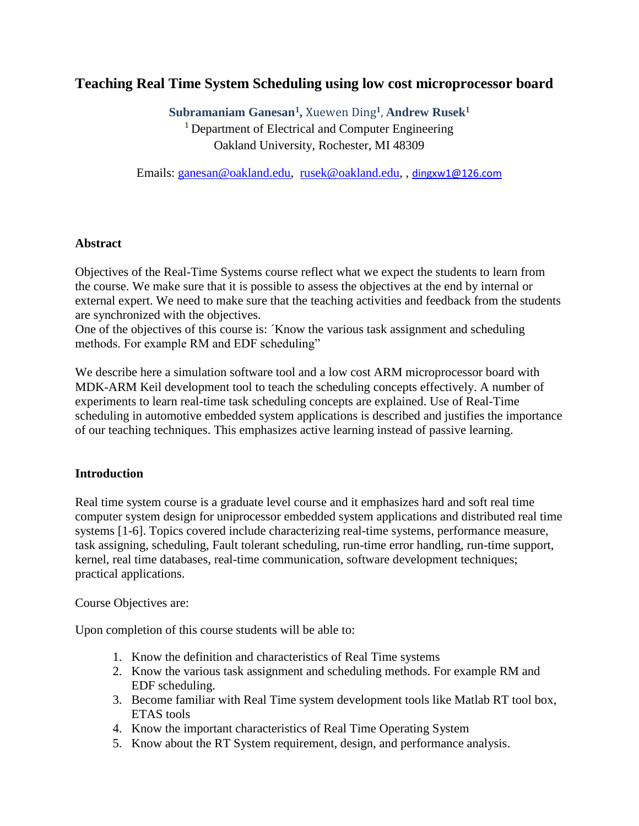# **Teaching Real Time System Scheduling using low cost microprocessor board**

**Subramaniam Ganesan<sup>1</sup> ,** Xuewen Ding**<sup>1</sup>** , **Andrew Rusek<sup>1</sup>**

<sup>1</sup> Department of Electrical and Computer Engineering Oakland University, Rochester, MI 48309

Emails: [ganesan@oakland.edu,](mailto:ganesan@oakland.edu) [rusek@oakland.edu,](mailto:rusek@oakland.edu) , [dingxw1@126.com](mailto:dingxw1@126.com)

#### **Abstract**

Objectives of the Real-Time Systems course reflect what we expect the students to learn from the course. We make sure that it is possible to assess the objectives at the end by internal or external expert. We need to make sure that the teaching activities and feedback from the students are synchronized with the objectives.

One of the objectives of this course is: ´Know the various task assignment and scheduling methods. For example RM and EDF scheduling"

We describe here a simulation software tool and a low cost ARM microprocessor board with MDK-ARM Keil development tool to teach the scheduling concepts effectively. A number of experiments to learn real-time task scheduling concepts are explained. Use of Real-Time scheduling in automotive embedded system applications is described and justifies the importance of our teaching techniques. This emphasizes active learning instead of passive learning.

# **Introduction**

Real time system course is a graduate level course and it emphasizes hard and soft real time computer system design for uniprocessor embedded system applications and distributed real time systems [1-6]. Topics covered include characterizing real-time systems, performance measure, task assigning, scheduling, Fault tolerant scheduling, run-time error handling, run-time support, kernel, real time databases, real-time communication, software development techniques; practical applications.

Course Objectives are:

Upon completion of this course students will be able to:

- 1. Know the definition and characteristics of Real Time systems
- 2. Know the various task assignment and scheduling methods. For example RM and EDF scheduling.
- 3. Become familiar with Real Time system development tools like Matlab RT tool box, ETAS tools
- 4. Know the important characteristics of Real Time Operating System
- 5. Know about the RT System requirement, design, and performance analysis.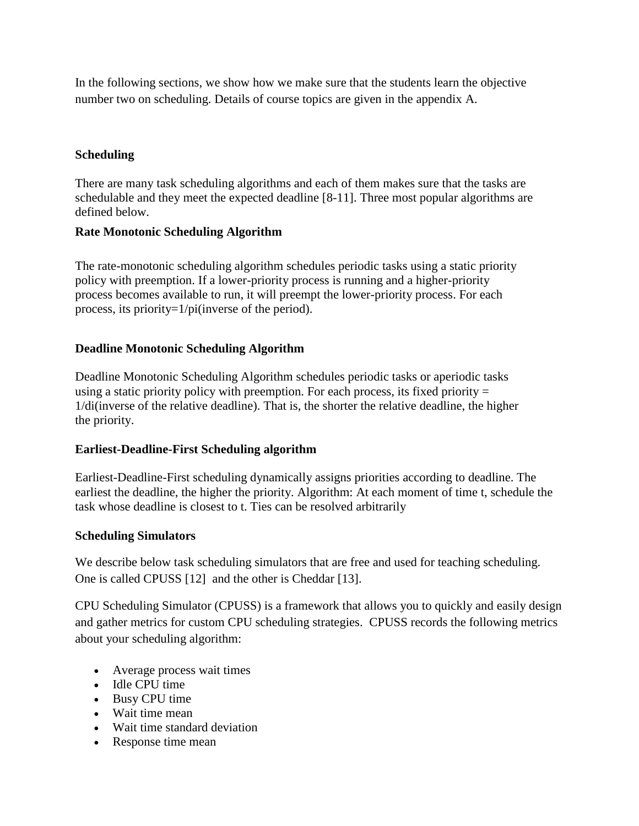In the following sections, we show how we make sure that the students learn the objective number two on scheduling. Details of course topics are given in the appendix A.

# **Scheduling**

There are many task scheduling algorithms and each of them makes sure that the tasks are schedulable and they meet the expected deadline [8-11]. Three most popular algorithms are defined below.

# **Rate Monotonic Scheduling Algorithm**

The rate-monotonic scheduling algorithm schedules periodic tasks using a static priority policy with preemption. If a lower-priority process is running and a higher-priority process becomes available to run, it will preempt the lower-priority process. For each process, its priority=1/pi(inverse of the period).

# **Deadline Monotonic Scheduling Algorithm**

Deadline Monotonic Scheduling Algorithm schedules periodic tasks or aperiodic tasks using a static priority policy with preemption. For each process, its fixed priority  $=$ 1/di(inverse of the relative deadline). That is, the shorter the relative deadline, the higher the priority.

# **Earliest-Deadline-First Scheduling algorithm**

Earliest-Deadline-First scheduling dynamically assigns priorities according to deadline. The earliest the deadline, the higher the priority. Algorithm: At each moment of time t, schedule the task whose deadline is closest to t. Ties can be resolved arbitrarily

# **Scheduling Simulators**

We describe below task scheduling simulators that are free and used for teaching scheduling. One is called CPUSS [12] and the other is Cheddar [13].

CPU Scheduling Simulator (CPUSS) is a framework that allows you to quickly and easily design and gather metrics for custom CPU scheduling strategies. CPUSS records the following metrics about your scheduling algorithm:

- Average process wait times
- Idle CPU time
- Busy CPU time
- Wait time mean
- Wait time standard deviation
- Response time mean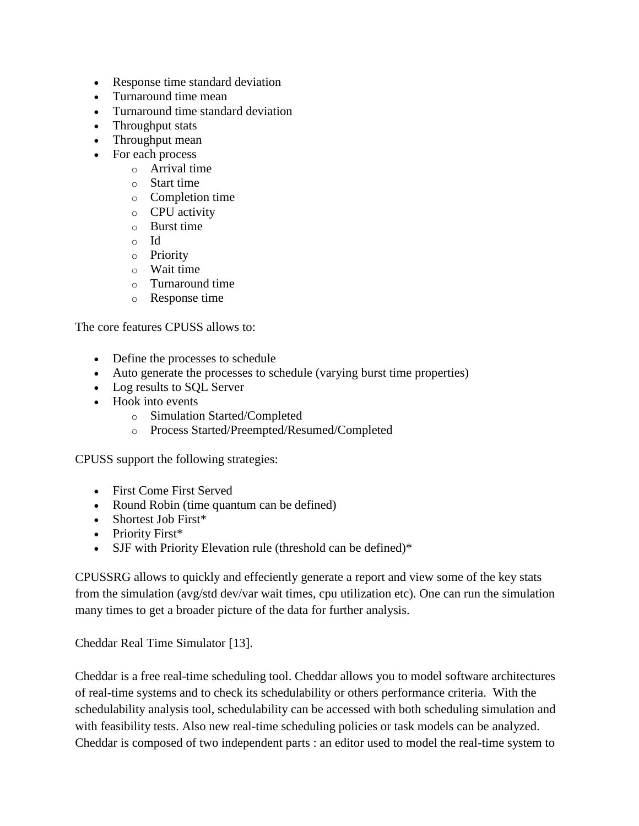- Response time standard deviation
- Turnaround time mean
- Turnaround time standard deviation
- Throughput stats
- Throughput mean
- For each process
	- o Arrival time
	- o Start time
	- o Completion time
	- o CPU activity
	- $\circ$  Burst time
	- o Id
	- o Priority
	- o Wait time
	- o Turnaround time
	- o Response time

The core features CPUSS allows to:

- Define the processes to schedule
- Auto generate the processes to schedule (varying burst time properties)
- Log results to SQL Server
- Hook into events
	- o Simulation Started/Completed
	- o Process Started/Preempted/Resumed/Completed

CPUSS support the following strategies:

- First Come First Served
- Round Robin (time quantum can be defined)
- Shortest Job First\*
- Priority First\*
- SJF with Priority Elevation rule (threshold can be defined)\*

CPUSSRG allows to quickly and effeciently generate a report and view some of the key stats from the simulation (avg/std dev/var wait times, cpu utilization etc). One can run the simulation many times to get a broader picture of the data for further analysis.

Cheddar Real Time Simulator [13].

Cheddar is a free real-time scheduling tool. Cheddar allows you to model software architectures of real-time systems and to check its schedulability or others performance criteria. With the schedulability analysis tool, schedulability can be accessed with both scheduling simulation and with feasibility tests. Also new real-time scheduling policies or task models can be analyzed. Cheddar is composed of two independent parts : an editor used to model the real-time system to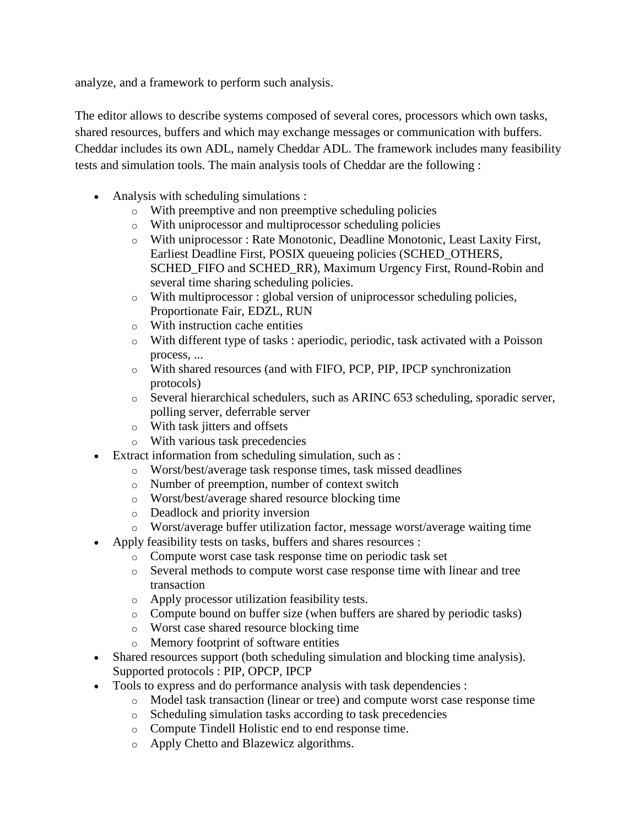analyze, and a framework to perform such analysis.

The editor allows to describe systems composed of several cores, processors which own tasks, shared resources, buffers and which may exchange messages or communication with buffers. Cheddar includes its own ADL, namely Cheddar ADL. The framework includes many feasibility tests and simulation tools. The main analysis tools of Cheddar are the following :

- Analysis with scheduling simulations :
	- o With preemptive and non preemptive scheduling policies
	- o With uniprocessor and multiprocessor scheduling policies
	- o With uniprocessor : Rate Monotonic, Deadline Monotonic, Least Laxity First, Earliest Deadline First, POSIX queueing policies (SCHED\_OTHERS, SCHED\_FIFO and SCHED\_RR), Maximum Urgency First, Round-Robin and several time sharing scheduling policies.
	- o With multiprocessor : global version of uniprocessor scheduling policies, Proportionate Fair, EDZL, RUN
	- o With instruction cache entities
	- o With different type of tasks : aperiodic, periodic, task activated with a Poisson process, ...
	- o With shared resources (and with FIFO, PCP, PIP, IPCP synchronization protocols)
	- o Several hierarchical schedulers, such as ARINC 653 scheduling, sporadic server, polling server, deferrable server
	- o With task jitters and offsets
	- o With various task precedencies
- Extract information from scheduling simulation, such as :
	- o Worst/best/average task response times, task missed deadlines
	- o Number of preemption, number of context switch
	- o Worst/best/average shared resource blocking time
	- o Deadlock and priority inversion
	- o Worst/average buffer utilization factor, message worst/average waiting time
- Apply feasibility tests on tasks, buffers and shares resources :
	- o Compute worst case task response time on periodic task set
	- o Several methods to compute worst case response time with linear and tree transaction
	- o Apply processor utilization feasibility tests.
	- o Compute bound on buffer size (when buffers are shared by periodic tasks)
	- o Worst case shared resource blocking time
	- o Memory footprint of software entities
- Shared resources support (both scheduling simulation and blocking time analysis). Supported protocols : PIP, OPCP, IPCP
- Tools to express and do performance analysis with task dependencies :
	- o Model task transaction (linear or tree) and compute worst case response time
	- o Scheduling simulation tasks according to task precedencies
	- o Compute Tindell Holistic end to end response time.
	- o Apply Chetto and Blazewicz algorithms.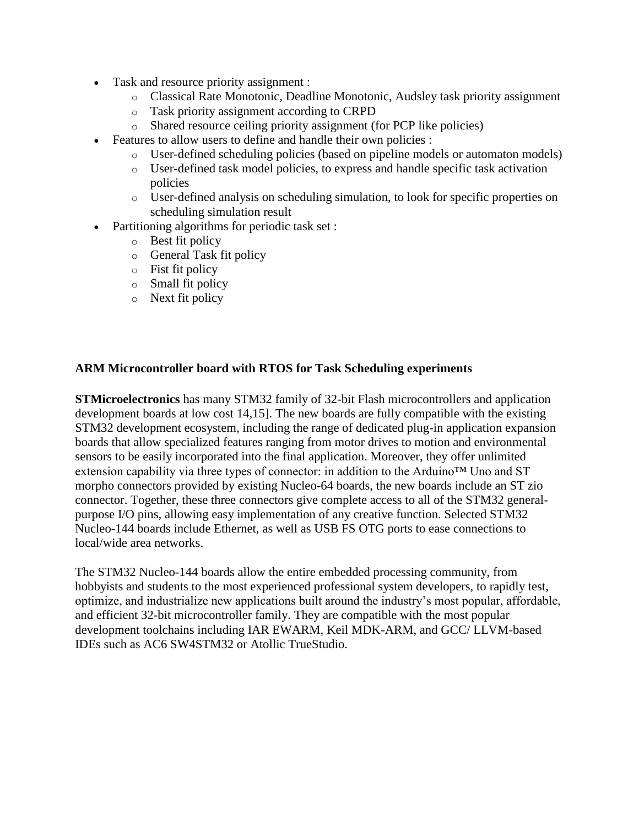- Task and resource priority assignment :
	- o Classical Rate Monotonic, Deadline Monotonic, Audsley task priority assignment
	- o Task priority assignment according to CRPD
	- o Shared resource ceiling priority assignment (for PCP like policies)
- Features to allow users to define and handle their own policies :
	- o User-defined scheduling policies (based on pipeline models or automaton models)
	- o User-defined task model policies, to express and handle specific task activation policies
	- o User-defined analysis on scheduling simulation, to look for specific properties on scheduling simulation result
- Partitioning algorithms for periodic task set :
	- o Best fit policy
	- o General Task fit policy
	- o Fist fit policy
	- o Small fit policy
	- o Next fit policy

# **ARM Microcontroller board with RTOS for Task Scheduling experiments**

**STMicroelectronics** has many STM32 family of 32-bit Flash microcontrollers and application development boards at low cost 14,15]. The new boards are fully compatible with the existing STM32 development ecosystem, including the range of dedicated plug-in application expansion boards that allow specialized features ranging from motor drives to motion and environmental sensors to be easily incorporated into the final application. Moreover, they offer unlimited extension capability via three types of connector: in addition to the Arduino™ Uno and ST morpho connectors provided by existing Nucleo-64 boards, the new boards include an ST zio connector. Together, these three connectors give complete access to all of the STM32 generalpurpose I/O pins, allowing easy implementation of any creative function. Selected STM32 Nucleo-144 boards include Ethernet, as well as USB FS OTG ports to ease connections to local/wide area networks.

The STM32 Nucleo-144 boards allow the entire embedded processing community, from hobbyists and students to the most experienced professional system developers, to rapidly test, optimize, and industrialize new applications built around the industry's most popular, affordable, and efficient 32-bit microcontroller family. They are compatible with the most popular development toolchains including IAR EWARM, Keil MDK-ARM, and GCC/ LLVM-based IDEs such as AC6 SW4STM32 or Atollic TrueStudio.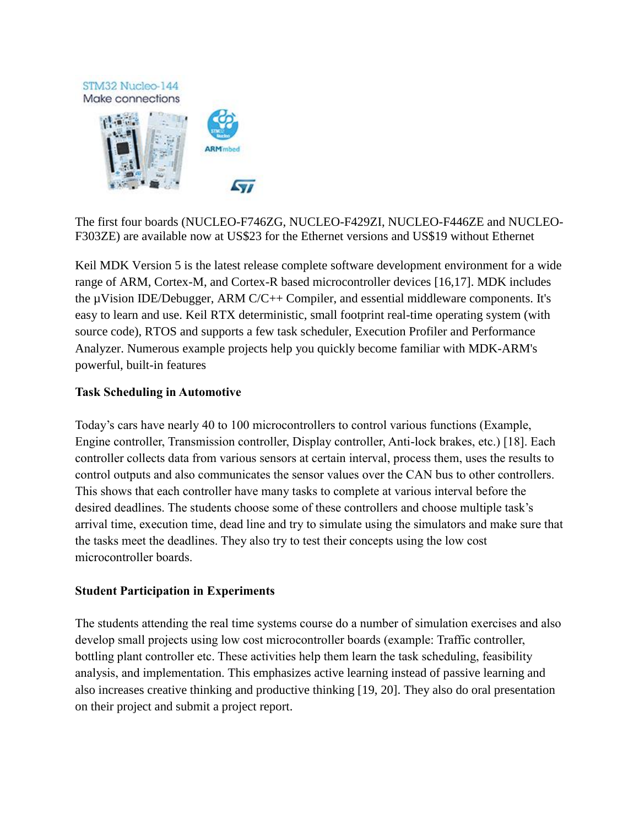

The first four boards (NUCLEO-F746ZG, NUCLEO-F429ZI, NUCLEO-F446ZE and NUCLEO-F303ZE) are available now at US\$23 for the Ethernet versions and US\$19 without Ethernet

Keil MDK Version 5 is the latest release complete software development environment for a wide range of ARM, Cortex-M, and Cortex-R based microcontroller devices [16,17]. MDK includes the µVision IDE/Debugger, ARM C/C++ Compiler, and essential middleware components. It's easy to learn and use. Keil RTX deterministic, small footprint real-time operating system (with source code), RTOS and supports a few task scheduler, Execution Profiler and Performance Analyzer. Numerous example projects help you quickly become familiar with MDK-ARM's powerful, built-in features

#### **Task Scheduling in Automotive**

Today's cars have nearly 40 to 100 microcontrollers to control various functions (Example, Engine controller, Transmission controller, Display controller, Anti-lock brakes, etc.) [18]. Each controller collects data from various sensors at certain interval, process them, uses the results to control outputs and also communicates the sensor values over the CAN bus to other controllers. This shows that each controller have many tasks to complete at various interval before the desired deadlines. The students choose some of these controllers and choose multiple task's arrival time, execution time, dead line and try to simulate using the simulators and make sure that the tasks meet the deadlines. They also try to test their concepts using the low cost microcontroller boards.

# **Student Participation in Experiments**

The students attending the real time systems course do a number of simulation exercises and also develop small projects using low cost microcontroller boards (example: Traffic controller, bottling plant controller etc. These activities help them learn the task scheduling, feasibility analysis, and implementation. This emphasizes active learning instead of passive learning and also increases creative thinking and productive thinking [19, 20]. They also do oral presentation on their project and submit a project report.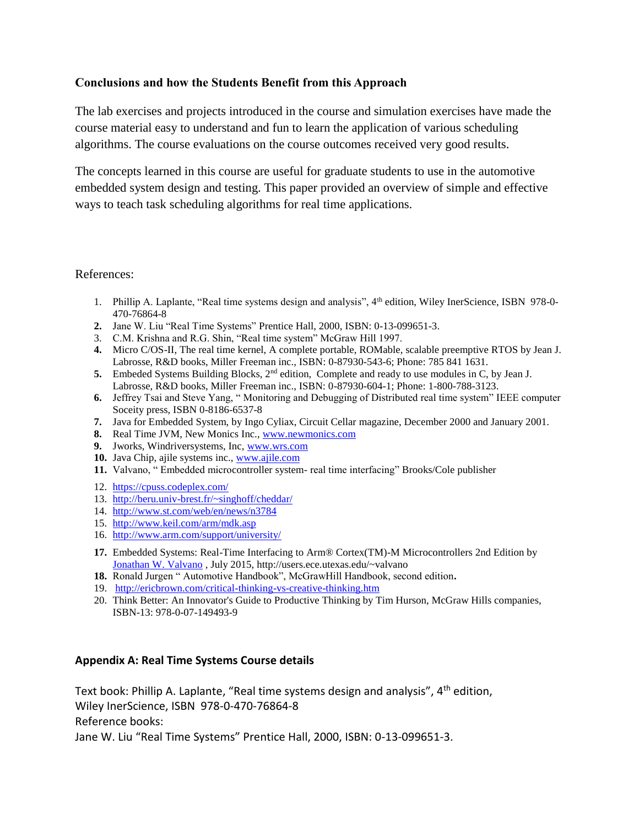#### **Conclusions and how the Students Benefit from this Approach**

The lab exercises and projects introduced in the course and simulation exercises have made the course material easy to understand and fun to learn the application of various scheduling algorithms. The course evaluations on the course outcomes received very good results.

The concepts learned in this course are useful for graduate students to use in the automotive embedded system design and testing. This paper provided an overview of simple and effective ways to teach task scheduling algorithms for real time applications.

#### References:

- 1. Phillip A. Laplante, "Real time systems design and analysis", 4th edition, Wiley InerScience, ISBN 978-0- 470-76864-8
- **2.** Jane W. Liu "Real Time Systems" Prentice Hall, 2000, ISBN: 0-13-099651-3.
- 3. C.M. Krishna and R.G. Shin, "Real time system" McGraw Hill 1997.
- **4.** Micro C/OS-II, The real time kernel, A complete portable, ROMable, scalable preemptive RTOS by Jean J. Labrosse, R&D books, Miller Freeman inc., ISBN: 0-87930-543-6; Phone: 785 841 1631.
- **5.** Embeded Systems Building Blocks, 2<sup>nd</sup> edition, Complete and ready to use modules in C, by Jean J. Labrosse, R&D books, Miller Freeman inc., ISBN: 0-87930-604-1; Phone: 1-800-788-3123.
- **6.** Jeffrey Tsai and Steve Yang, " Monitoring and Debugging of Distributed real time system" IEEE computer Soceity press, ISBN 0-8186-6537-8
- **7.** Java for Embedded System, by Ingo Cyliax, Circuit Cellar magazine, December 2000 and January 2001.
- **8.** Real Time JVM, New Monics Inc.[, www.newmonics.com](http://www.newmonics.com/)
- **9.** Jworks, Windriversystems, Inc, [www.wrs.com](http://www.wrs.com/)
- **10.** Java Chip, ajile systems inc., [www.ajile.com](http://www.ajile.com/)
- **11.** Valvano, " Embedded microcontroller system- real time interfacing" Brooks/Cole publisher
- 12. <https://cpuss.codeplex.com/>
- 13. <http://beru.univ-brest.fr/~singhoff/cheddar/>
- 14. <http://www.st.com/web/en/news/n3784>
- 15. <http://www.keil.com/arm/mdk.asp>
- 16. <http://www.arm.com/support/university/>
- **17.** Embedded Systems: Real-Time Interfacing to Arm® Cortex(TM)-M Microcontrollers 2nd Edition by [Jonathan W. Valvano](http://www.amazon.com/s/ref=dp_byline_sr_book_1?ie=UTF8&text=Jonathan+W.+Valvano&search-alias=books&field-author=Jonathan+W.+Valvano&sort=relevancerank) , July 2015, http://users.ece.utexas.edu/~valvano
- **18.** Ronald Jurgen " Automotive Handbook", McGrawHill Handbook, second edition**.**
- 19. <http://ericbrown.com/critical-thinking-vs-creative-thinking.htm>
- 20. Think Better: An Innovator's Guide to Productive Thinking by Tim Hurson, McGraw Hills companies, ISBN-13: 978-0-07-149493-9

#### **Appendix A: Real Time Systems Course details**

Text book: Phillip A. Laplante, "Real time systems design and analysis", 4th edition, Wiley InerScience, ISBN 978-0-470-76864-8 Reference books: Jane W. Liu "Real Time Systems" Prentice Hall, 2000, ISBN: 0-13-099651-3.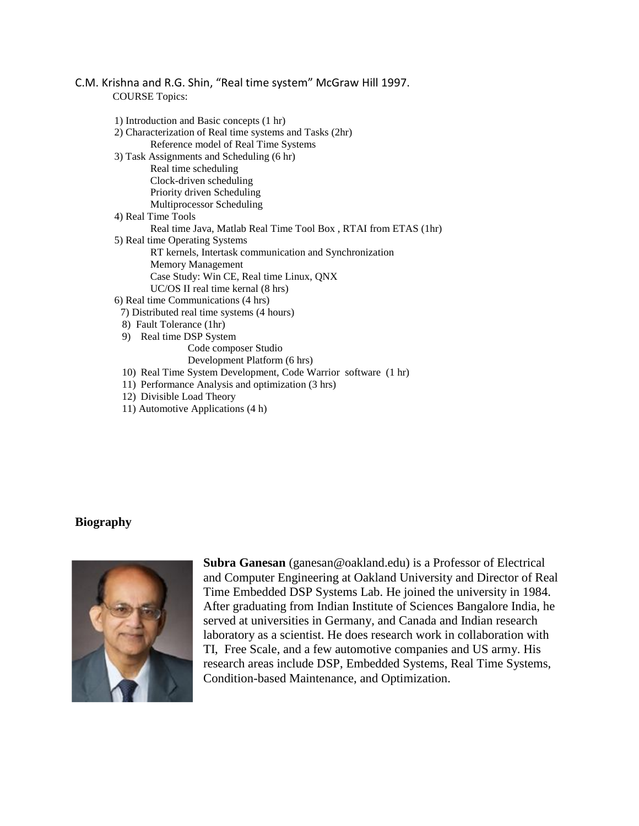#### C.M. Krishna and R.G. Shin, "Real time system" McGraw Hill 1997. COURSE Topics:

|                    | 1) Introduction and Basic concepts (1 hr)                       |
|--------------------|-----------------------------------------------------------------|
|                    | 2) Characterization of Real time systems and Tasks (2hr)        |
|                    | Reference model of Real Time Systems                            |
|                    | 3) Task Assignments and Scheduling (6 hr)                       |
|                    | Real time scheduling                                            |
|                    | Clock-driven scheduling                                         |
|                    | Priority driven Scheduling                                      |
|                    | Multiprocessor Scheduling                                       |
| 4) Real Time Tools |                                                                 |
|                    | Real time Java, Matlab Real Time Tool Box, RTAI from ETAS (1hr) |
|                    | 5) Real time Operating Systems                                  |
|                    | RT kernels, Intertask communication and Synchronization         |
|                    | Memory Management                                               |
|                    | Case Study: Win CE, Real time Linux, QNX                        |
|                    | $UC/OS$ II real time kernal $(8 \text{ hrs})$                   |
|                    | 6) Real time Communications (4 hrs)                             |
|                    | 7) Distributed real time systems (4 hours)                      |
|                    | 8) Fault Tolerance (1hr)                                        |
|                    | 9) Real time DSP System                                         |
|                    | Code composer Studio                                            |
|                    | Development Platform (6 hrs)                                    |
|                    | 10) Real Time System Development, Code Warrior software (1 hr)  |
|                    | 11) Performance Analysis and optimization (3 hrs)               |
|                    | 12) Divisible Load Theory                                       |

11) Automotive Applications (4 h)

#### **Biography**



**Subra Ganesan** (ganesan@oakland.edu) is a Professor of Electrical and Computer Engineering at Oakland University and Director of Real Time Embedded DSP Systems Lab. He joined the university in 1984. After graduating from Indian Institute of Sciences Bangalore India, he served at universities in Germany, and Canada and Indian research laboratory as a scientist. He does research work in collaboration with TI, Free Scale, and a few automotive companies and US army. His research areas include DSP, Embedded Systems, Real Time Systems, Condition-based Maintenance, and Optimization.